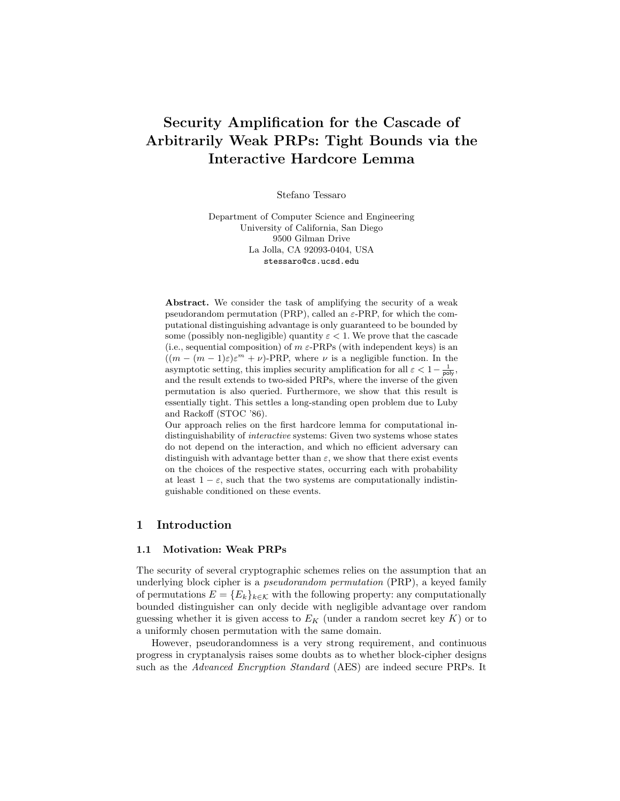# Security Amplification for the Cascade of Arbitrarily Weak PRPs: Tight Bounds via the Interactive Hardcore Lemma

Stefano Tessaro

Department of Computer Science and Engineering University of California, San Diego 9500 Gilman Drive La Jolla, CA 92093-0404, USA stessaro@cs.ucsd.edu

Abstract. We consider the task of amplifying the security of a weak pseudorandom permutation (PRP), called an  $\varepsilon$ -PRP, for which the computational distinguishing advantage is only guaranteed to be bounded by some (possibly non-negligible) quantity  $\varepsilon < 1$ . We prove that the cascade (i.e., sequential composition) of  $m \varepsilon$ -PRPs (with independent keys) is an  $((m - (m - 1)\varepsilon)\varepsilon^{m} + \nu)$ -PRP, where  $\nu$  is a negligible function. In the asymptotic setting, this implies security amplification for all  $\varepsilon < 1 - \frac{1}{\text{poly}}$ , and the result extends to two-sided PRPs, where the inverse of the given permutation is also queried. Furthermore, we show that this result is essentially tight. This settles a long-standing open problem due to Luby and Rackoff (STOC '86).

Our approach relies on the first hardcore lemma for computational indistinguishability of *interactive* systems: Given two systems whose states do not depend on the interaction, and which no efficient adversary can distinguish with advantage better than  $\varepsilon$ , we show that there exist events on the choices of the respective states, occurring each with probability at least  $1 - \varepsilon$ , such that the two systems are computationally indistinguishable conditioned on these events.

# 1 Introduction

#### 1.1 Motivation: Weak PRPs

The security of several cryptographic schemes relies on the assumption that an underlying block cipher is a pseudorandom permutation (PRP), a keyed family of permutations  $E = \{E_k\}_{k \in \mathcal{K}}$  with the following property: any computationally bounded distinguisher can only decide with negligible advantage over random guessing whether it is given access to  $E_K$  (under a random secret key K) or to a uniformly chosen permutation with the same domain.

However, pseudorandomness is a very strong requirement, and continuous progress in cryptanalysis raises some doubts as to whether block-cipher designs such as the Advanced Encryption Standard (AES) are indeed secure PRPs. It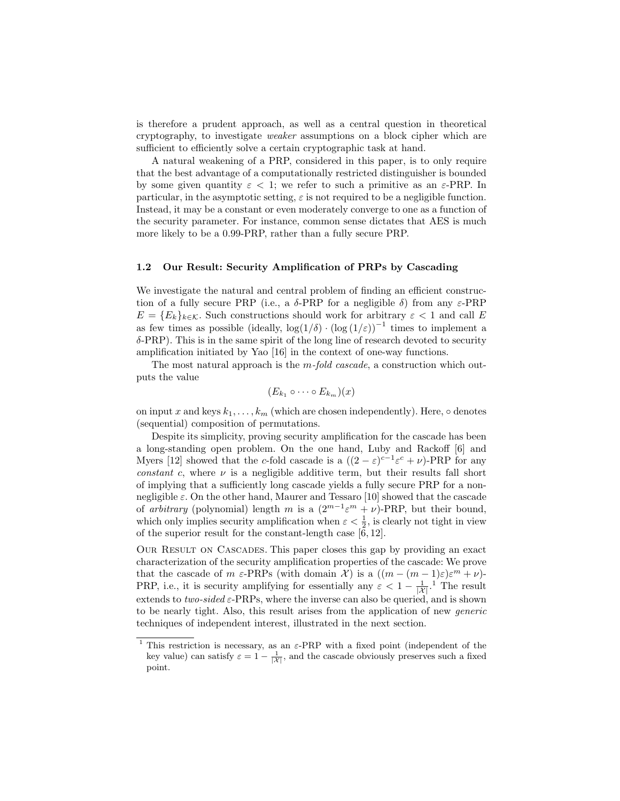is therefore a prudent approach, as well as a central question in theoretical cryptography, to investigate weaker assumptions on a block cipher which are sufficient to efficiently solve a certain cryptographic task at hand.

A natural weakening of a PRP, considered in this paper, is to only require that the best advantage of a computationally restricted distinguisher is bounded by some given quantity  $\varepsilon < 1$ ; we refer to such a primitive as an  $\varepsilon$ -PRP. In particular, in the asymptotic setting,  $\varepsilon$  is not required to be a negligible function. Instead, it may be a constant or even moderately converge to one as a function of the security parameter. For instance, common sense dictates that AES is much more likely to be a 0.99-PRP, rather than a fully secure PRP.

## 1.2 Our Result: Security Amplification of PRPs by Cascading

We investigate the natural and central problem of finding an efficient construction of a fully secure PRP (i.e., a  $\delta$ -PRP for a negligible  $\delta$ ) from any  $\varepsilon$ -PRP  $E = \{E_k\}_{k \in \mathcal{K}}$ . Such constructions should work for arbitrary  $\varepsilon < 1$  and call E as few times as possible (ideally,  $\log(1/\delta) \cdot (\log(1/\varepsilon)))^{-1}$  times to implement a δ-PRP). This is in the same spirit of the long line of research devoted to security amplification initiated by Yao [16] in the context of one-way functions.

The most natural approach is the  $m$ -fold cascade, a construction which outputs the value

$$
(E_{k_1}\circ\cdots\circ E_{k_m})(x)
$$

on input x and keys  $k_1, \ldots, k_m$  (which are chosen independently). Here,  $\circ$  denotes (sequential) composition of permutations.

Despite its simplicity, proving security amplification for the cascade has been a long-standing open problem. On the one hand, Luby and Rackoff [6] and Myers [12] showed that the c-fold cascade is a  $((2 - \varepsilon)^{c-1}\varepsilon^c + \nu)$ -PRP for any constant c, where  $\nu$  is a negligible additive term, but their results fall short of implying that a sufficiently long cascade yields a fully secure PRP for a nonnegligible  $\varepsilon$ . On the other hand, Maurer and Tessaro [10] showed that the cascade of arbitrary (polynomial) length m is a  $(2^{m-1} \varepsilon^m + \nu)$ -PRP, but their bound, which only implies security amplification when  $\varepsilon < \frac{1}{2}$ , is clearly not tight in view of the superior result for the constant-length case [6, 12].

Our Result on Cascades. This paper closes this gap by providing an exact characterization of the security amplification properties of the cascade: We prove that the cascade of m  $\varepsilon$ -PRPs (with domain X) is a  $((m - (m - 1)\varepsilon)\varepsilon^m + \nu)$ -PRP, i.e., it is security amplifying for essentially any  $\varepsilon < 1 - \frac{1}{|\mathcal{X}|}$ . The result extends to two-sided  $\varepsilon$ -PRPs, where the inverse can also be queried, and is shown to be nearly tight. Also, this result arises from the application of new generic techniques of independent interest, illustrated in the next section.

<sup>&</sup>lt;sup>1</sup> This restriction is necessary, as an  $\varepsilon$ -PRP with a fixed point (independent of the key value) can satisfy  $\varepsilon = 1 - \frac{1}{|\mathcal{X}|}$ , and the cascade obviously preserves such a fixed point.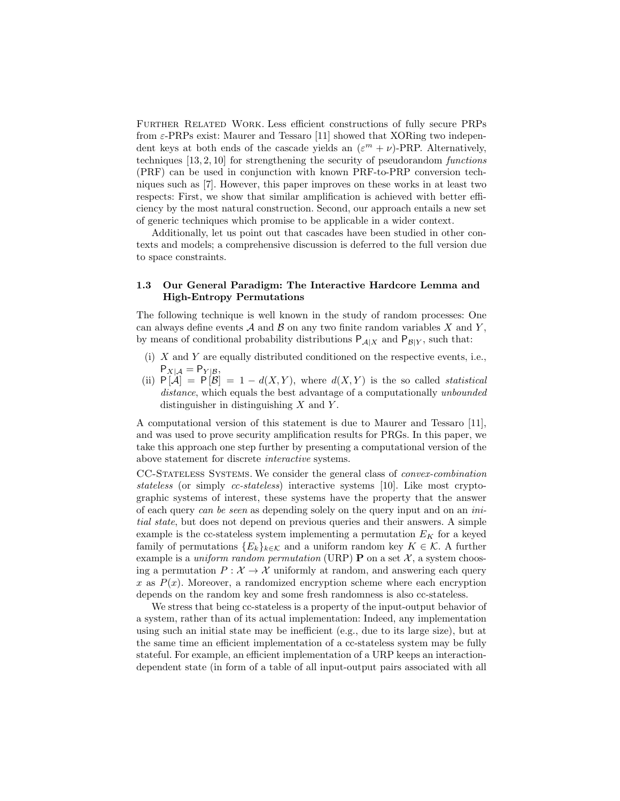Further Related Work. Less efficient constructions of fully secure PRPs from  $\varepsilon$ -PRPs exist: Maurer and Tessaro [11] showed that XORing two independent keys at both ends of the cascade yields an  $(\varepsilon^m + \nu)$ -PRP. Alternatively, techniques [13, 2, 10] for strengthening the security of pseudorandom functions (PRF) can be used in conjunction with known PRF-to-PRP conversion techniques such as [7]. However, this paper improves on these works in at least two respects: First, we show that similar amplification is achieved with better efficiency by the most natural construction. Second, our approach entails a new set of generic techniques which promise to be applicable in a wider context.

Additionally, let us point out that cascades have been studied in other contexts and models; a comprehensive discussion is deferred to the full version due to space constraints.

## 1.3 Our General Paradigm: The Interactive Hardcore Lemma and High-Entropy Permutations

The following technique is well known in the study of random processes: One can always define events  $A$  and  $B$  on any two finite random variables  $X$  and  $Y$ , by means of conditional probability distributions  $P_{A|X}$  and  $P_{B|Y}$ , such that:

- (i)  $X$  and  $Y$  are equally distributed conditioned on the respective events, i.e.,  $P_{X|A} = P_{Y|B}$
- (ii)  $P[A] = P[B] = 1 d(X, Y)$ , where  $d(X, Y)$  is the so called *statistical* distance, which equals the best advantage of a computationally unbounded distinguisher in distinguishing  $X$  and  $Y$ .

A computational version of this statement is due to Maurer and Tessaro [11], and was used to prove security amplification results for PRGs. In this paper, we take this approach one step further by presenting a computational version of the above statement for discrete interactive systems.

CC-Stateless Systems. We consider the general class of convex-combination stateless (or simply cc-stateless) interactive systems [10]. Like most cryptographic systems of interest, these systems have the property that the answer of each query can be seen as depending solely on the query input and on an initial state, but does not depend on previous queries and their answers. A simple example is the cc-stateless system implementing a permutation  $E_K$  for a keyed family of permutations  ${E_k}_{k \in K}$  and a uniform random key  $K \in \mathcal{K}$ . A further example is a *uniform random permutation* (URP) **P** on a set  $\mathcal{X}$ , a system choosing a permutation  $P: \mathcal{X} \to \mathcal{X}$  uniformly at random, and answering each query x as  $P(x)$ . Moreover, a randomized encryption scheme where each encryption depends on the random key and some fresh randomness is also cc-stateless.

We stress that being cc-stateless is a property of the input-output behavior of a system, rather than of its actual implementation: Indeed, any implementation using such an initial state may be inefficient (e.g., due to its large size), but at the same time an efficient implementation of a cc-stateless system may be fully stateful. For example, an efficient implementation of a URP keeps an interactiondependent state (in form of a table of all input-output pairs associated with all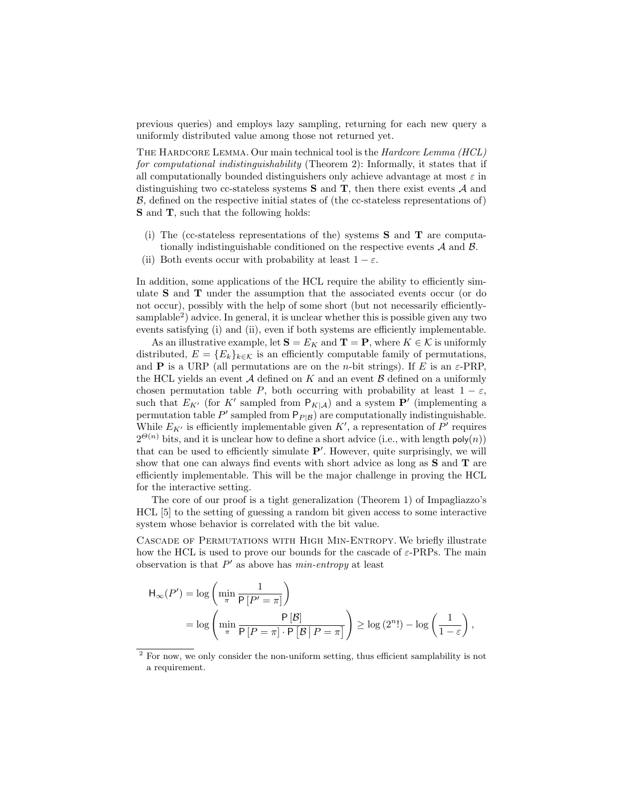previous queries) and employs lazy sampling, returning for each new query a uniformly distributed value among those not returned yet.

The Hardcore Lemma. Our main technical tool is the Hardcore Lemma (HCL) for computational indistinguishability (Theorem 2): Informally, it states that if all computationally bounded distinguishers only achieve advantage at most  $\varepsilon$  in distinguishing two cc-stateless systems  $S$  and  $T$ , then there exist events  $A$  and B, defined on the respective initial states of (the cc-stateless representations of) S and T, such that the following holds:

- (i) The (cc-stateless representations of the) systems  $S$  and  $T$  are computationally indistinguishable conditioned on the respective events  $A$  and  $B$ .
- (ii) Both events occur with probability at least  $1 \varepsilon$ .

In addition, some applications of the HCL require the ability to efficiently simulate S and T under the assumption that the associated events occur (or do not occur), possibly with the help of some short (but not necessarily efficientlysamplable<sup>2</sup>) advice. In general, it is unclear whether this is possible given any two events satisfying (i) and (ii), even if both systems are efficiently implementable.

As an illustrative example, let  $S = E_K$  and  $T = P$ , where  $K \in \mathcal{K}$  is uniformly distributed,  $E = \{E_k\}_{k \in \mathcal{K}}$  is an efficiently computable family of permutations, and **P** is a URP (all permutations are on the *n*-bit strings). If E is an  $\varepsilon$ -PRP, the HCL yields an event  $A$  defined on K and an event  $B$  defined on a uniformly chosen permutation table P, both occurring with probability at least  $1 - \varepsilon$ , such that  $E_{K'}$  (for K' sampled from  $P_{K|A}$ ) and a system P' (implementing a permutation table  $P'$  sampled from  $P_{P|B}$  are computationally indistinguishable. While  $E_{K'}$  is efficiently implementable given  $K'$ , a representation of  $P'$  requires  $2^{\Theta(n)}$  bits, and it is unclear how to define a short advice (i.e., with length  $\mathsf{poly}(n)$ ) that can be used to efficiently simulate  $P'$ . However, quite surprisingly, we will show that one can always find events with short advice as long as S and T are efficiently implementable. This will be the major challenge in proving the HCL for the interactive setting.

The core of our proof is a tight generalization (Theorem 1) of Impagliazzo's HCL [5] to the setting of guessing a random bit given access to some interactive system whose behavior is correlated with the bit value.

Cascade of Permutations with High Min-Entropy. We briefly illustrate how the HCL is used to prove our bounds for the cascade of  $\varepsilon$ -PRPs. The main observation is that  $P'$  as above has  $min\text{-}entropy$  at least

$$
H_{\infty}(P') = \log\left(\min_{\pi} \frac{1}{P[P' = \pi]}\right)
$$
  
= 
$$
\log\left(\min_{\pi} \frac{P[\mathcal{B}]}{P[P = \pi] \cdot P[\mathcal{B} | P = \pi]}\right) \ge \log(2^n!) - \log\left(\frac{1}{1 - \varepsilon}\right),
$$

<sup>&</sup>lt;sup>2</sup> For now, we only consider the non-uniform setting, thus efficient samplability is not a requirement.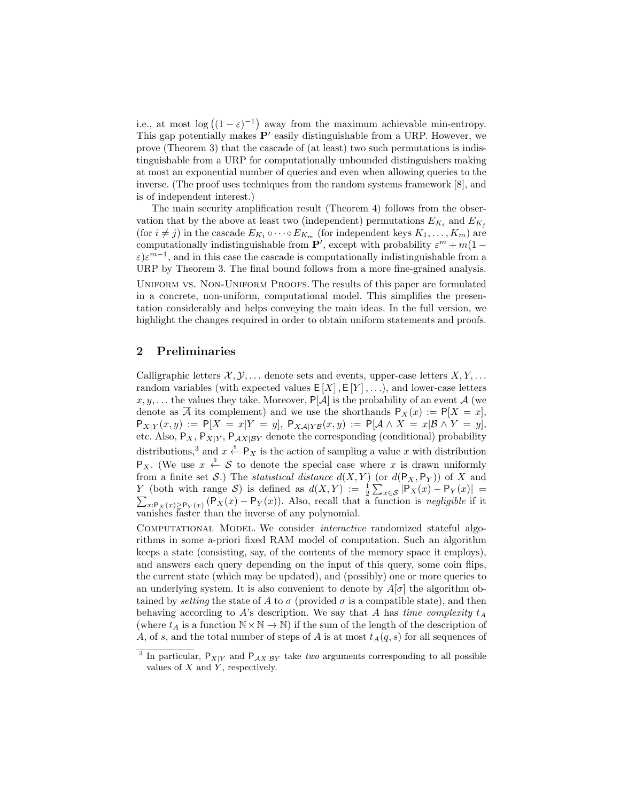i.e., at most  $\log((1-\varepsilon)^{-1})$  away from the maximum achievable min-entropy. This gap potentially makes  $P'$  easily distinguishable from a URP. However, we prove (Theorem 3) that the cascade of (at least) two such permutations is indistinguishable from a URP for computationally unbounded distinguishers making at most an exponential number of queries and even when allowing queries to the inverse. (The proof uses techniques from the random systems framework [8], and is of independent interest.)

The main security amplification result (Theorem 4) follows from the observation that by the above at least two (independent) permutations  $E_{K_i}$  and  $E_{K_j}$ (for  $i \neq j$ ) in the cascade  $E_{K_1} \circ \cdots \circ E_{K_m}$  (for independent keys  $K_1, \ldots, K_m$ ) are computationally indistinguishable from  $\mathbf{P}'$ , except with probability  $\varepsilon^{m} + m(1 - \mathbf{P}')$  $\varepsilon$ ) $\varepsilon^{m-1}$ , and in this case the cascade is computationally indistinguishable from a URP by Theorem 3. The final bound follows from a more fine-grained analysis. Uniform vs. Non-Uniform Proofs. The results of this paper are formulated in a concrete, non-uniform, computational model. This simplifies the presentation considerably and helps conveying the main ideas. In the full version, we highlight the changes required in order to obtain uniform statements and proofs.

# 2 Preliminaries

Calligraphic letters  $\mathcal{X}, \mathcal{Y}, \ldots$  denote sets and events, upper-case letters  $X, Y, \ldots$ random variables (with expected values  $E[X], E[Y], \ldots$ ), and lower-case letters x, y,... the values they take. Moreover,  $P[A]$  is the probability of an event A (we denote as  $\overline{A}$  its complement) and we use the shorthands  $P_X(x) := P[X = x]$ ,  $P_{X|Y}(x,y) := P[X = x|Y = y], P_{X\mathcal{A}|Y\mathcal{B}}(x,y) := P[\mathcal{A} \wedge X = x|\mathcal{B} \wedge Y = y],$ etc. Also,  $P_X$ ,  $P_{X|Y}$ ,  $P_{AX|BY}$  denote the corresponding (conditional) probability distributions,<sup>3</sup> and  $x \stackrel{\$}{\leftarrow} P_X$  is the action of sampling a value x with distribution  $P_X$ . (We use  $x \stackrel{\hspace{0.1em}\mathsf{\scriptscriptstyle\$}}{\leftarrow}$  S to denote the special case where x is drawn uniformly from a finite set S.) The *statistical distance*  $d(X, Y)$  (or  $d(P_X, P_Y)$ ) of X and Y (both with range S) is defined as  $d(X,Y) := \frac{1}{2} \sum_{x \in S} |P_X(x) - P_Y(x)| =$  $\sum_{x: \mathsf{P}_X(x) \geq \mathsf{P}_Y(x)} (\mathsf{P}_X(x) - \mathsf{P}_Y(x))$ . Also, recall that a function is negligible if it vanishes faster than the inverse of any polynomial.

COMPUTATIONAL MODEL. We consider *interactive* randomized stateful algorithms in some a-priori fixed RAM model of computation. Such an algorithm keeps a state (consisting, say, of the contents of the memory space it employs), and answers each query depending on the input of this query, some coin flips, the current state (which may be updated), and (possibly) one or more queries to an underlying system. It is also convenient to denote by  $A[\sigma]$  the algorithm obtained by *setting* the state of A to  $\sigma$  (provided  $\sigma$  is a compatible state), and then behaving according to A's description. We say that A has time complexity  $t_A$ (where  $t_A$  is a function  $N \times N \to N$ ) if the sum of the length of the description of A, of s, and the total number of steps of A is at most  $t_A(q, s)$  for all sequences of

<sup>&</sup>lt;sup>3</sup> In particular,  $P_{X|Y}$  and  $P_{AX|BY}$  take two arguments corresponding to all possible values of  $X$  and  $Y$ , respectively.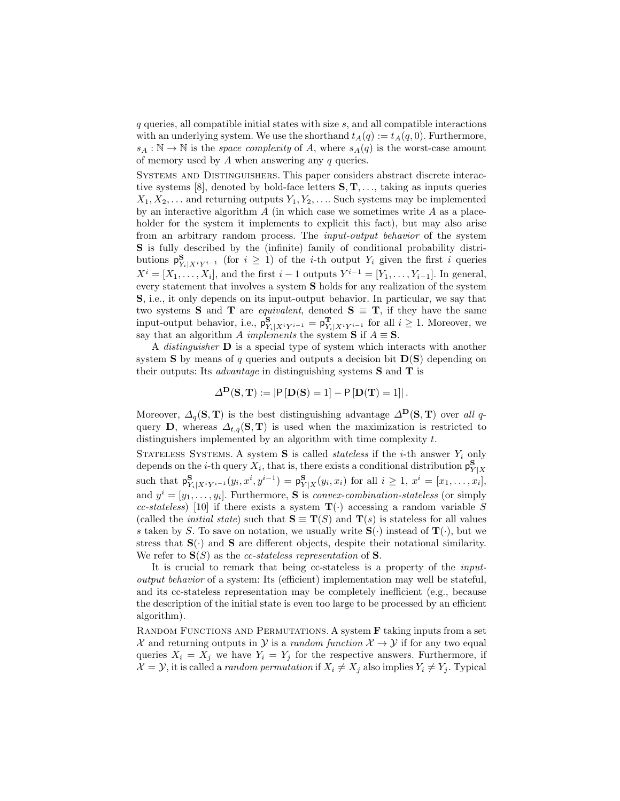q queries, all compatible initial states with size s, and all compatible interactions with an underlying system. We use the shorthand  $t_A(q) := t_A(q, 0)$ . Furthermore,  $s_A : \mathbb{N} \to \mathbb{N}$  is the *space complexity* of A, where  $s_A(q)$  is the worst-case amount of memory used by  $A$  when answering any  $q$  queries.

Systems and Distinguishers. This paper considers abstract discrete interactive systems [8], denoted by bold-face letters  $S, T, \ldots$ , taking as inputs queries  $X_1, X_2, \ldots$  and returning outputs  $Y_1, Y_2, \ldots$  Such systems may be implemented by an interactive algorithm  $A$  (in which case we sometimes write  $A$  as a placeholder for the system it implements to explicit this fact), but may also arise from an arbitrary random process. The input-output behavior of the system S is fully described by the (infinite) family of conditional probability distributions  $\mathsf{p}^{\mathbf{S}}_{Y_i|X^iY^{i-1}}$  (for  $i \geq 1$ ) of the *i*-th output  $Y_i$  given the first i queries  $X^i = [X_1, \ldots, X_i]$ , and the first  $i-1$  outputs  $Y^{i-1} = [Y_1, \ldots, Y_{i-1}]$ . In general, every statement that involves a system S holds for any realization of the system S, i.e., it only depends on its input-output behavior. In particular, we say that two systems S and T are *equivalent*, denoted  $S \equiv T$ , if they have the same input-output behavior, i.e.,  $p_{Y_i|X^iY^{i-1}}^S = p_{Y_i|X^iY^{i-1}}^T$  for all  $i \ge 1$ . Moreover, we say that an algorithm A *implements* the system **S** if  $A \equiv S$ .

A *distinguisher*  $\bf{D}$  is a special type of system which interacts with another system **S** by means of q queries and outputs a decision bit  $D(S)$  depending on their outputs: Its *advantage* in distinguishing systems  $S$  and  $T$  is

$$
\Delta^{\mathbf{D}}(\mathbf{S}, \mathbf{T}) := |\mathbf{P}[\mathbf{D}(\mathbf{S}) = 1] - \mathbf{P}[\mathbf{D}(\mathbf{T}) = 1]|.
$$

Moreover,  $\Delta_q(\mathbf{S}, \mathbf{T})$  is the best distinguishing advantage  $\Delta^{\mathbf{D}}(\mathbf{S}, \mathbf{T})$  over all qquery **D**, whereas  $\Delta_{t,q}(\mathbf{S}, \mathbf{T})$  is used when the maximization is restricted to distinguishers implemented by an algorithm with time complexity t.

STATELESS SYSTEMS. A system S is called *stateless* if the *i*-th answer  $Y_i$  only depends on the *i*-th query  $X_i$ , that is, there exists a conditional distribution  $\mathsf{p}_{Y|X}^{\mathbf{S}}$ such that  $p_{Y_i|X^iY^{i-1}}^S(y_i, x^i, y^{i-1}) = p_{Y|X}^S(y_i, x_i)$  for all  $i \ge 1, x^i = [x_1, \ldots, x_i],$ and  $y^i = [y_1, \ldots, y_i]$ . Furthermore, **S** is *convex-combination-stateless* (or simply cc-stateless) [10] if there exists a system  $\mathbf{T}(\cdot)$  accessing a random variable S (called the *initial state*) such that  $S \equiv T(S)$  and  $T(s)$  is stateless for all values s taken by S. To save on notation, we usually write  $S(\cdot)$  instead of  $T(\cdot)$ , but we stress that  $S(\cdot)$  and  $S$  are different objects, despite their notational similarity. We refer to  $S(S)$  as the *cc-stateless representation* of S.

It is crucial to remark that being cc-stateless is a property of the inputoutput behavior of a system: Its (efficient) implementation may well be stateful, and its cc-stateless representation may be completely inefficient (e.g., because the description of the initial state is even too large to be processed by an efficient algorithm).

RANDOM FUNCTIONS AND PERMUTATIONS. A system **F** taking inputs from a set X and returning outputs in Y is a *random function*  $X \to Y$  if for any two equal queries  $X_i = X_j$  we have  $Y_i = Y_j$  for the respective answers. Furthermore, if  $\mathcal{X} = \mathcal{Y}$ , it is called a *random permutation* if  $X_i \neq X_j$  also implies  $Y_i \neq Y_j$ . Typical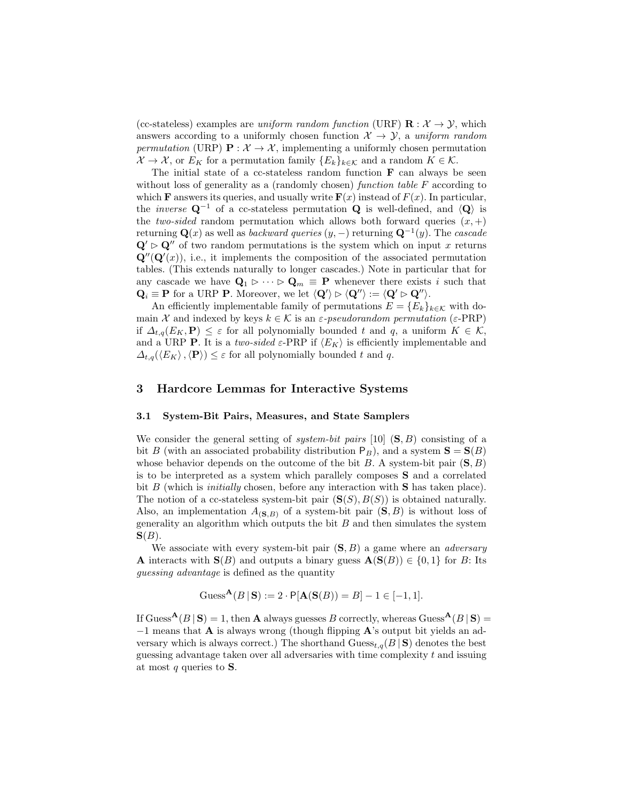(cc-stateless) examples are uniform random function (URF)  $\mathbf{R} : \mathcal{X} \to \mathcal{Y}$ , which answers according to a uniformly chosen function  $\mathcal{X} \to \mathcal{Y}$ , a uniform random permutation (URP)  $\mathbf{P}: \mathcal{X} \to \mathcal{X}$ , implementing a uniformly chosen permutation  $\mathcal{X} \to \mathcal{X}$ , or  $E_K$  for a permutation family  $\{E_k\}_{k \in \mathcal{K}}$  and a random  $K \in \mathcal{K}$ .

The initial state of a cc-stateless random function  $\bf{F}$  can always be seen without loss of generality as a (randomly chosen) *function table F* according to which **F** answers its queries, and usually write  $\mathbf{F}(x)$  instead of  $F(x)$ . In particular, the *inverse*  $\mathbf{Q}^{-1}$  of a cc-stateless permutation  $\mathbf{Q}$  is well-defined, and  $\langle \mathbf{Q} \rangle$  is the two-sided random permutation which allows both forward queries  $(x, +)$ returning  $\mathbf{Q}(x)$  as well as *backward queries*  $(y, -)$  returning  $\mathbf{Q}^{-1}(y)$ . The *cascade*  $\mathbf{Q}' \triangleright \mathbf{Q}''$  of two random permutations is the system which on input x returns  $\mathbf{Q}''(\mathbf{Q}'(x))$ , i.e., it implements the composition of the associated permutation tables. (This extends naturally to longer cascades.) Note in particular that for any cascade we have  $\mathbf{Q}_1 \triangleright \cdots \triangleright \mathbf{Q}_m \equiv \mathbf{P}$  whenever there exists i such that  $\mathbf{Q}_i \equiv \mathbf{P}$  for a URP **P**. Moreover, we let  $\langle \mathbf{Q}' \rangle \triangleright \langle \mathbf{Q}'' \rangle := \langle \mathbf{Q}' \triangleright \mathbf{Q}'' \rangle$ .

An efficiently implementable family of permutations  $E = \{E_k\}_{k \in \mathcal{K}}$  with domain X and indexed by keys  $k \in K$  is an  $\varepsilon$ -pseudorandom permutation ( $\varepsilon$ -PRP) if  $\Delta_{t,q}(E_K, \mathbf{P}) \leq \varepsilon$  for all polynomially bounded t and q, a uniform  $K \in \mathcal{K}$ , and a URP **P**. It is a two-sided  $\varepsilon$ -PRP if  $\langle E_K \rangle$  is efficiently implementable and  $\Delta_{t,q}(\langle E_K \rangle, \langle \mathbf{P} \rangle) \leq \varepsilon$  for all polynomially bounded t and q.

# 3 Hardcore Lemmas for Interactive Systems

#### 3.1 System-Bit Pairs, Measures, and State Samplers

We consider the general setting of *system-bit pairs* [10]  $(S, B)$  consisting of a bit B (with an associated probability distribution  $P_B$ ), and a system  $S = S(B)$ whose behavior depends on the outcome of the bit B. A system-bit pair  $(S, B)$ is to be interpreted as a system which parallely composes S and a correlated bit  $B$  (which is *initially* chosen, before any interaction with  $S$  has taken place). The notion of a cc-stateless system-bit pair  $(S(S), B(S))$  is obtained naturally. Also, an implementation  $A_{(S,B)}$  of a system-bit pair  $(S, B)$  is without loss of generality an algorithm which outputs the bit  $B$  and then simulates the system  $S(B)$ .

We associate with every system-bit pair  $(S, B)$  a game where an *adversary* **A** interacts with  $S(B)$  and outputs a binary guess  $A(S(B)) \in \{0,1\}$  for B: Its guessing advantage is defined as the quantity

$$
Guss^{\mathbf{A}}(B | \mathbf{S}) := 2 \cdot P[\mathbf{A}(\mathbf{S}(B)) = B] - 1 \in [-1, 1].
$$

If Guess<sup>A</sup>(B | S) = 1, then A always guesses B correctly, whereas Guess<sup>A</sup>(B | S) = −1 means that A is always wrong (though flipping A's output bit yields an adversary which is always correct.) The shorthand  $\text{Guss}_{t,q}(B \mid S)$  denotes the best guessing advantage taken over all adversaries with time complexity  $t$  and issuing at most  $q$  queries to  $S$ .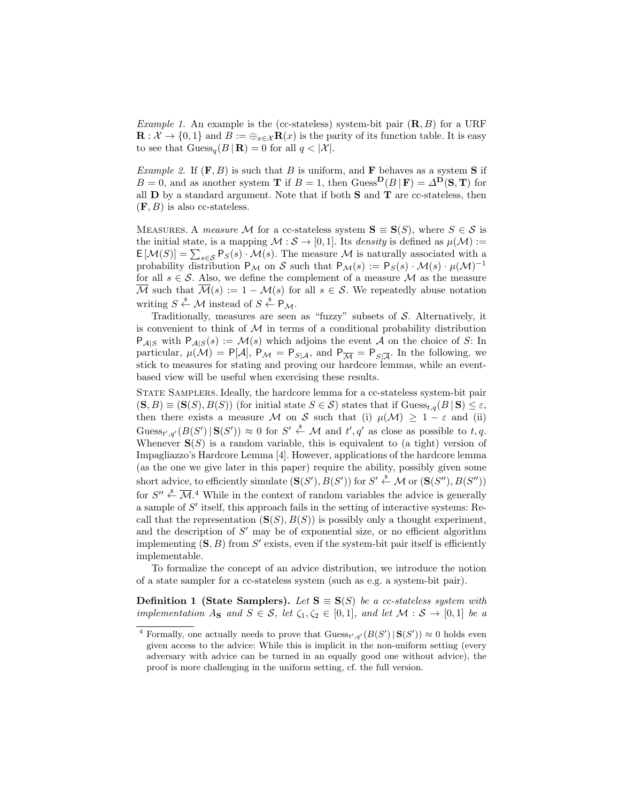*Example 1.* An example is the (cc-stateless) system-bit pair  $(\mathbf{R}, B)$  for a URF  $\mathbf{R}: \mathcal{X} \to \{0,1\}$  and  $B := \bigoplus_{x \in \mathcal{X}} \mathbf{R}(x)$  is the parity of its function table. It is easy to see that  $\text{Gauss}_{q}(B | \mathbf{R}) = 0$  for all  $q < |\mathcal{X}|$ .

*Example 2.* If  $(F, B)$  is such that B is uniform, and F behaves as a system S if  $B = 0$ , and as another system **T** if  $B = 1$ , then Guess<sup>D</sup>( $B | \mathbf{F}$ ) =  $\Delta^{\mathbf{D}}(\mathbf{S}, \mathbf{T})$  for all  **by a standard argument. Note that if both**  $**S**$  **and**  $**T**$  **are cc-stateless, then**  $(F, B)$  is also cc-stateless.

MEASURES. A measure M for a cc-stateless system  $S \equiv S(S)$ , where  $S \in \mathcal{S}$  is the initial state, is a mapping  $\mathcal{M}: \mathcal{S} \to [0, 1]$ . Its *density* is defined as  $\mu(\mathcal{M}):=$  $\mathsf{E}[\mathcal{M}(S)] = \sum_{s \in \mathcal{S}} \mathsf{P}_S(s) \cdot \mathcal{M}(s)$ . The measure M is naturally associated with a probability distribution  $P_M$  on S such that  $P_M(s) := P_S(s) \cdot \mathcal{M}(s) \cdot \mu(\mathcal{M})^{-1}$ for all  $s \in \mathcal{S}$ . Also, we define the complement of a measure  $\mathcal M$  as the measure  $\overline{\mathcal{M}}$  such that  $\overline{\mathcal{M}}(s) := 1 - \mathcal{M}(s)$  for all  $s \in \mathcal{S}$ . We repeatedly abuse notation writing  $S \stackrel{\$}{\leftarrow} \mathcal{M}$  instead of  $S \stackrel{\$}{\leftarrow} \mathsf{P}_{\mathcal{M}}$ .

Traditionally, measures are seen as "fuzzy" subsets of  $S$ . Alternatively, it is convenient to think of  $M$  in terms of a conditional probability distribution  $P_{\mathcal{A}|S}$  with  $P_{\mathcal{A}|S}(s) := \mathcal{M}(s)$  which adjoins the event A on the choice of S: In particular,  $\mu(\mathcal{M}) = P[\mathcal{A}], P_{\mathcal{M}} = P_{S|\mathcal{A}},$  and  $P_{\overline{\mathcal{M}}} = P_{S|\overline{\mathcal{A}}}$ . In the following, we stick to measures for stating and proving our hardcore lemmas, while an eventbased view will be useful when exercising these results.

State Samplers. Ideally, the hardcore lemma for a cc-stateless system-bit pair  $(S, B) \equiv (S(S), B(S))$  (for initial state  $S \in S$ ) states that if  $\text{Guss}_{t,q}(B | S) \leq \varepsilon$ , then there exists a measure M on S such that (i)  $\mu(\mathcal{M}) \geq 1 - \varepsilon$  and (ii) Guess<sub>t',q'</sub> $(B(S') | S(S')) \approx 0$  for  $S' \stackrel{\$}{\leftarrow} M$  and  $t'$ , q' as close as possible to t,q. Whenever  $S(S)$  is a random variable, this is equivalent to (a tight) version of Impagliazzo's Hardcore Lemma [4]. However, applications of the hardcore lemma (as the one we give later in this paper) require the ability, possibly given some short advice, to efficiently simulate  $(\mathbf{S}(S'), B(S'))$  for  $S' \stackrel{\$}{\leftarrow} \mathcal{M}$  or  $(\mathbf{S}(S''), B(S''))$ for  $S'' \stackrel{\$}{\leftarrow} \overline{\mathcal{M}}$ .<sup>4</sup> While in the context of random variables the advice is generally a sample of  $S'$  itself, this approach fails in the setting of interactive systems: Recall that the representation  $(S(S), B(S))$  is possibly only a thought experiment, and the description of  $S'$  may be of exponential size, or no efficient algorithm implementing  $(S, B)$  from  $S'$  exists, even if the system-bit pair itself is efficiently implementable.

To formalize the concept of an advice distribution, we introduce the notion of a state sampler for a cc-stateless system (such as e.g. a system-bit pair).

**Definition 1 (State Samplers).** Let  $S \equiv S(S)$  be a cc-stateless system with implementation  $A_{\mathbf{S}}$  and  $S \in \mathcal{S}$ , let  $\zeta_1, \zeta_2 \in [0,1]$ , and let  $\mathcal{M} : \mathcal{S} \to [0,1]$  be a

<sup>&</sup>lt;sup>4</sup> Formally, one actually needs to prove that  $\text{Guss}_{t',q'}(B(S') | S(S')) \approx 0$  holds even given access to the advice: While this is implicit in the non-uniform setting (every adversary with advice can be turned in an equally good one without advice), the proof is more challenging in the uniform setting, cf. the full version.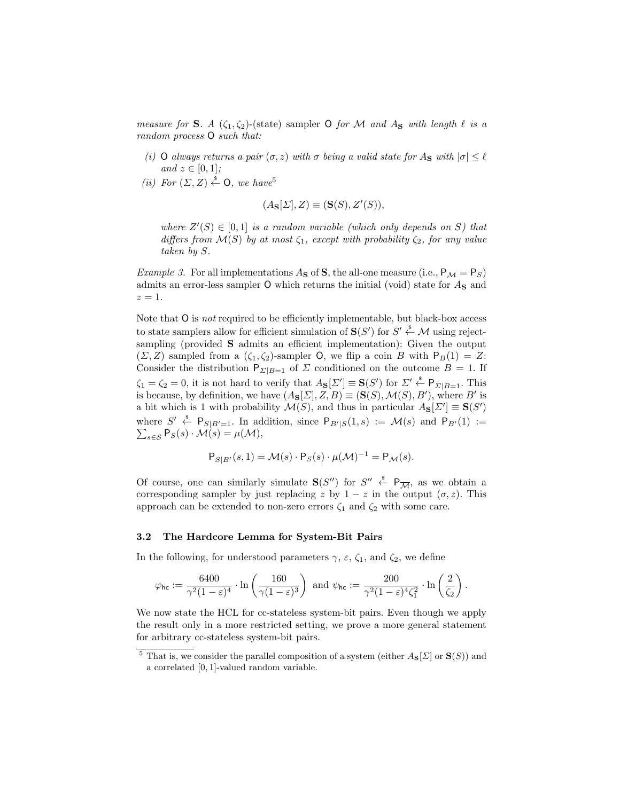measure for **S**. A  $(\zeta_1, \zeta_2)$ -(state) sampler **O** for M and A<sub>**s**</sub> with length  $\ell$  is a random process O such that:

- (i) O always returns a pair  $(\sigma, z)$  with  $\sigma$  being a valid state for A<sub>S</sub> with  $|\sigma| \leq \ell$ and  $z \in [0, 1]$ ;
- (ii) For  $(\Sigma, Z) \stackrel{\hspace{0.1em}\mathsf{\scriptscriptstyle\$}}{\leftarrow} \mathsf{O}$ , we have<sup>5</sup>

$$
(A_{\mathbf{S}}[\Sigma], Z) \equiv (\mathbf{S}(S), Z'(S)),
$$

where  $Z'(S) \in [0,1]$  is a random variable (which only depends on S) that differs from  $\mathcal{M}(S)$  by at most  $\zeta_1$ , except with probability  $\zeta_2$ , for any value taken by S.

*Example 3.* For all implementations  $A_S$  of S, the all-one measure (i.e.,  $P_M = P_S$ ) admits an error-less sampler  $O$  which returns the initial (void) state for  $A<sub>S</sub>$  and  $z=1$ .

Note that  $O$  is *not* required to be efficiently implementable, but black-box access to state samplers allow for efficient simulation of  $S(S')$  for  $S' \stackrel{\$}{\leftarrow} \mathcal{M}$  using rejectsampling (provided S admits an efficient implementation): Given the output  $(\Sigma, Z)$  sampled from a  $(\zeta_1, \zeta_2)$ -sampler O, we flip a coin B with  $P_B(1) = Z$ : Consider the distribution  $P_{\Sigma|B=1}$  of  $\Sigma$  conditioned on the outcome  $B=1$ . If  $\zeta_1 = \zeta_2 = 0$ , it is not hard to verify that  $A_{\mathbf{S}}[\Sigma'] \equiv \mathbf{S}(S')$  for  $\Sigma' \stackrel{\$}{\leftarrow} \mathsf{P}_{\Sigma|B=1}$ . This is because, by definition, we have  $(A_{\mathbf{S}}[\Sigma], Z, B) \equiv (\mathbf{S}(S), \mathcal{M}(S), B')$ , where B' is a bit which is 1 with probability  $\mathcal{M}(S)$ , and thus in particular  $A_{\mathbf{S}}[\Sigma'] \equiv \mathbf{S}(S')$ where  $S' \stackrel{\$}{\leftarrow} P_{S|B'=1}$ . In addition, since  $P_{B'|S}(1,s) := \mathcal{M}(s)$  and  $P_{B'}(1) :=$  $\sum_{s\in\mathcal{S}}\mathsf{P}_{\mathcal{S}}(s)\cdot\mathcal{M}(s)=\mu(\mathcal{M}),$ 

$$
\mathsf{P}_{S|B'}(s,1) = \mathcal{M}(s) \cdot \mathsf{P}_S(s) \cdot \mu(\mathcal{M})^{-1} = \mathsf{P}_{\mathcal{M}}(s).
$$

Of course, one can similarly simulate  $S(S'')$  for  $S'' \stackrel{s}{\leftarrow} P_{\overline{\mathcal{M}}}$ , as we obtain a corresponding sampler by just replacing z by  $1 - z$  in the output  $(\sigma, z)$ . This approach can be extended to non-zero errors  $\zeta_1$  and  $\zeta_2$  with some care.

## 3.2 The Hardcore Lemma for System-Bit Pairs

In the following, for understood parameters  $\gamma$ ,  $\varepsilon$ ,  $\zeta_1$ , and  $\zeta_2$ , we define

$$
\varphi_{\mathsf{hc}} := \frac{6400}{\gamma^2 (1 - \varepsilon)^4} \cdot \ln\left(\frac{160}{\gamma (1 - \varepsilon)^3}\right) \text{ and } \psi_{\mathsf{hc}} := \frac{200}{\gamma^2 (1 - \varepsilon)^4 \zeta_1^2} \cdot \ln\left(\frac{2}{\zeta_2}\right).
$$

We now state the HCL for cc-stateless system-bit pairs. Even though we apply the result only in a more restricted setting, we prove a more general statement for arbitrary cc-stateless system-bit pairs.

<sup>&</sup>lt;sup>5</sup> That is, we consider the parallel composition of a system (either  $A_{\mathbf{S}}[\Sigma]$  or  $\mathbf{S}(S)$ ) and a correlated [0, 1]-valued random variable.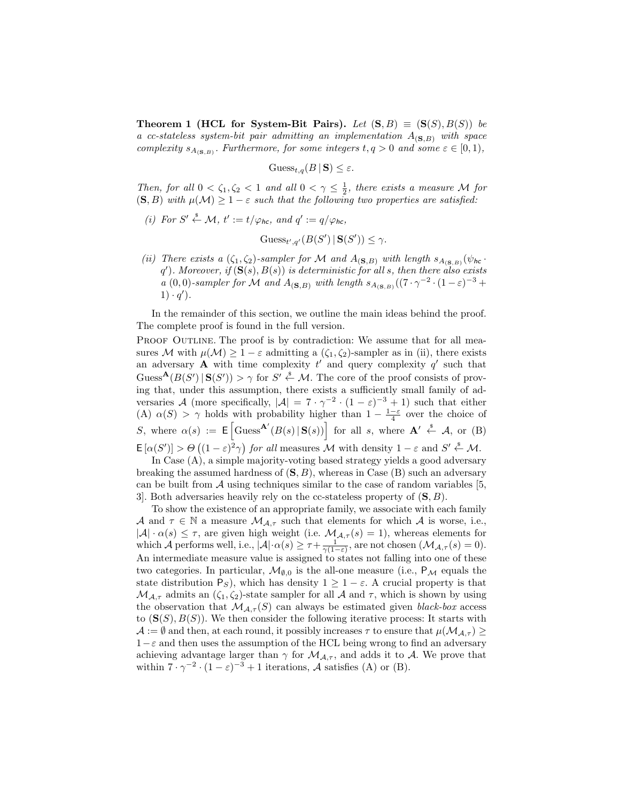**Theorem 1 (HCL for System-Bit Pairs).** Let  $(S, B) \equiv (S(S), B(S))$  be a cc-stateless system-bit pair admitting an implementation  $A_{(S,B)}$  with space complexity  $s_{A_{(S,B)}}$ . Furthermore, for some integers  $t, q > 0$  and some  $\varepsilon \in [0,1)$ ,

$$
\mathrm{Gauss}_{t,q}(B \,|\, \mathbf{S}) \leq \varepsilon.
$$

Then, for all  $0 < \zeta_1, \zeta_2 < 1$  and all  $0 < \gamma \leq \frac{1}{2}$ , there exists a measure M for  $(S, B)$  with  $\mu(\mathcal{M}) \geq 1 - \varepsilon$  such that the following two properties are satisfied:

(i) For  $S' \stackrel{\$}{\leftarrow} \mathcal{M}$ ,  $t' := t/\varphi_{hc}$ , and  $q' := q/\varphi_{hc}$ ,

$$
Guss_{t',q'}(B(S') | \mathbf{S}(S')) \leq \gamma.
$$

(ii) There exists a  $(\zeta_1, \zeta_2)$ -sampler for M and  $A_{(S,B)}$  with length  $s_{A_{(S,B)}}(\psi_{hc} \cdot$ q'). Moreover, if  $(S(s), B(s))$  is deterministic for all s, then there also exists a (0,0)-sampler for M and  $A_{(S,B)}$  with length  $s_{A_{(S,B)}}((7\cdot\gamma^{-2}\cdot(1-\varepsilon)^{-3} +$  $1) \cdot q'$ .

In the remainder of this section, we outline the main ideas behind the proof. The complete proof is found in the full version.

PROOF OUTLINE. The proof is by contradiction: We assume that for all measures M with  $\mu(\mathcal{M}) \geq 1 - \varepsilon$  admitting a  $(\zeta_1, \zeta_2)$ -sampler as in (ii), there exists an adversary **A** with time complexity  $t'$  and query complexity  $q'$  such that Guess<sup>A</sup> $(B(S') | S(S')) > \gamma$  for  $S' \stackrel{\$}{\leftarrow} M$ . The core of the proof consists of proving that, under this assumption, there exists a sufficiently small family of adversaries A (more specifically,  $|\mathcal{A}| = 7 \cdot \gamma^{-2} \cdot (1 - \varepsilon)^{-3} + 1$ ) such that either (A)  $\alpha(S) > \gamma$  holds with probability higher than  $1 - \frac{1-\epsilon}{4}$  over the choice of S, where  $\alpha(s) := \mathsf{E}\left[\text{Guss}^{\mathbf{A}'}(B(s) | \mathbf{S}(s))\right]$  for all s, where  $\mathbf{A}' \stackrel{\hspace{0.1em}\mathsf{\scriptscriptstyle\$}}{\leftarrow} A$ , or (B)  $\mathsf{E}\left[\alpha(S')\right] > \Theta\left((1-\varepsilon)^2\gamma\right)$  for all measures M with density  $1-\varepsilon$  and  $S' \stackrel{\$}{\leftarrow} \mathcal{M}$ .

In Case (A), a simple majority-voting based strategy yields a good adversary breaking the assumed hardness of  $(S, B)$ , whereas in Case  $(B)$  such an adversary can be built from  $A$  using techniques similar to the case of random variables [5, 3. Both adversaries heavily rely on the cc-stateless property of  $(S, B)$ .

To show the existence of an appropriate family, we associate with each family A and  $\tau \in \mathbb{N}$  a measure  $\mathcal{M}_{\mathcal{A},\tau}$  such that elements for which A is worse, i.e.,  $|\mathcal{A}| \cdot \alpha(s) \leq \tau$ , are given high weight (i.e.  $\mathcal{M}_{\mathcal{A},\tau}(s) = 1$ ), whereas elements for which A performs well, i.e.,  $|\mathcal{A}| \cdot \alpha(s) \geq \tau + \frac{1}{\gamma(1-\varepsilon)}$ , are not chosen  $(\mathcal{M}_{\mathcal{A},\tau}(s) = 0)$ . An intermediate measure value is assigned to states not falling into one of these two categories. In particular,  $\mathcal{M}_{\emptyset,0}$  is the all-one measure (i.e.,  $P_{\mathcal{M}}$  equals the state distribution P<sub>S</sub>), which has density  $1 \geq 1 - \varepsilon$ . A crucial property is that  $\mathcal{M}_{\mathcal{A},\tau}$  admits an  $(\zeta_1,\zeta_2)$ -state sampler for all  $\mathcal A$  and  $\tau$ , which is shown by using the observation that  $\mathcal{M}_{A,\tau}(S)$  can always be estimated given *black-box* access to  $(\mathbf{S}(S), B(S))$ . We then consider the following iterative process: It starts with  $\mathcal{A} := \emptyset$  and then, at each round, it possibly increases  $\tau$  to ensure that  $\mu(\mathcal{M}_{\mathcal{A}, \tau}) \geq$  $1-\varepsilon$  and then uses the assumption of the HCL being wrong to find an adversary achieving advantage larger than  $\gamma$  for  $\mathcal{M}_{\mathcal{A},\tau}$ , and adds it to  $\mathcal{A}$ . We prove that within  $7 \cdot \gamma^{-2} \cdot (1 - \varepsilon)^{-3} + 1$  iterations, A satisfies (A) or (B).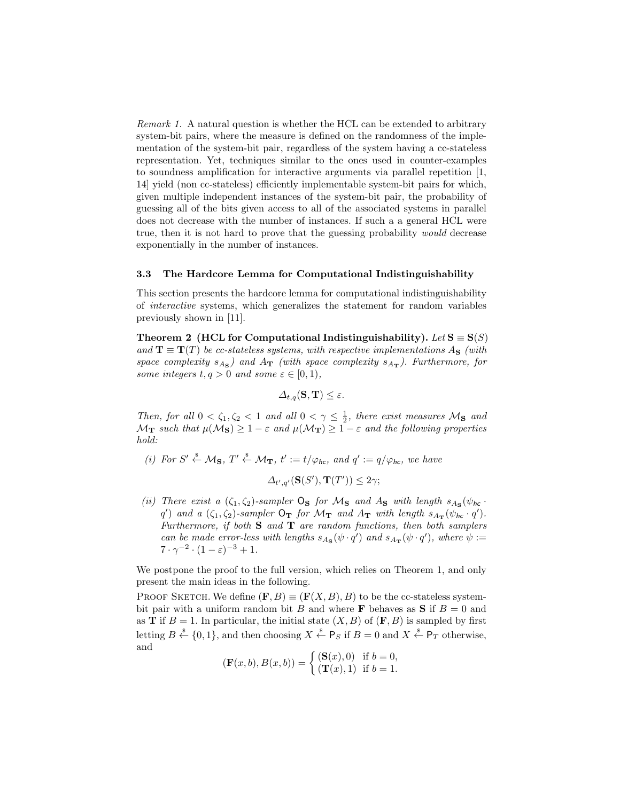Remark 1. A natural question is whether the HCL can be extended to arbitrary system-bit pairs, where the measure is defined on the randomness of the implementation of the system-bit pair, regardless of the system having a cc-stateless representation. Yet, techniques similar to the ones used in counter-examples to soundness amplification for interactive arguments via parallel repetition [1, 14] yield (non cc-stateless) efficiently implementable system-bit pairs for which, given multiple independent instances of the system-bit pair, the probability of guessing all of the bits given access to all of the associated systems in parallel does not decrease with the number of instances. If such a a general HCL were true, then it is not hard to prove that the guessing probability would decrease exponentially in the number of instances.

#### 3.3 The Hardcore Lemma for Computational Indistinguishability

This section presents the hardcore lemma for computational indistinguishability of interactive systems, which generalizes the statement for random variables previously shown in [11].

Theorem 2 (HCL for Computational Indistinguishability). Let  $S \equiv S(S)$ and  $\mathbf{T} \equiv \mathbf{T}(T)$  be cc-stateless systems, with respective implementations A<sub>S</sub> (with space complexity  $s_{A_{\rm S}}$ ) and  $A_{\rm T}$  (with space complexity  $s_{A_{\rm T}}$ ). Furthermore, for some integers  $t, q > 0$  and some  $\varepsilon \in [0, 1)$ ,

$$
\Delta_{t,q}(\mathbf{S},\mathbf{T}) \leq \varepsilon.
$$

Then, for all  $0 < \zeta_1, \zeta_2 < 1$  and all  $0 < \gamma \leq \frac{1}{2}$ , there exist measures  $M_S$  and  $\mathcal{M}_{\bf T}$  such that  $\mu(\mathcal{M}_{{\bf S}}) \geq 1-\varepsilon$  and  $\mu(\mathcal{M}_{\bf T}) \geq 1-\varepsilon$  and the following properties hold:

(i) For  $S' \stackrel{\$}{\leftarrow} \mathcal{M}_S$ ,  $T' \stackrel{\$}{\leftarrow} \mathcal{M}_T$ ,  $t' := t/\varphi_{hc}$ , and  $q' := q/\varphi_{hc}$ , we have

 $\Delta_{t',q'}(\mathbf{S}(S'), \mathbf{T}(T')) \leq 2\gamma;$ 

(ii) There exist a  $(\zeta_1, \zeta_2)$ -sampler  $\mathsf{O}_\mathbf{S}$  for  $\mathcal{M}_\mathbf{S}$  and  $A_\mathbf{S}$  with length  $s_{A_\mathbf{S}}(\psi_{h\mathbf{C}})$ . q') and a  $(\zeta_1, \zeta_2)$ -sampler  $O_T$  for  $\mathcal{M}_T$  and  $A_T$  with length  $s_{A_T}(\psi_{hc} \cdot q')$ . Furthermore, if both  $S$  and  $T$  are random functions, then both samplers can be made error-less with lengths  $s_{A_S}(\psi \cdot q')$  and  $s_{A_T}(\psi \cdot q')$ , where  $\psi :=$  $7 \cdot \gamma^{-2} \cdot (1 - \varepsilon)^{-3} + 1.$ 

We postpone the proof to the full version, which relies on Theorem 1, and only present the main ideas in the following.

PROOF SKETCH. We define  $(\mathbf{F}, B) \equiv (\mathbf{F}(X, B), B)$  to be the cc-stateless systembit pair with a uniform random bit B and where **F** behaves as **S** if  $B = 0$  and as **T** if  $B = 1$ . In particular, the initial state  $(X, B)$  of  $(F, B)$  is sampled by first letting  $B \stackrel{\$}{\leftarrow} \{0,1\}$ , and then choosing  $X \stackrel{\$}{\leftarrow} P_S$  if  $B = 0$  and  $X \stackrel{\$}{\leftarrow} P_T$  otherwise, and

$$
(\mathbf{F}(x, b), B(x, b)) = \begin{cases} (\mathbf{S}(x), 0) & \text{if } b = 0, \\ (\mathbf{T}(x), 1) & \text{if } b = 1. \end{cases}
$$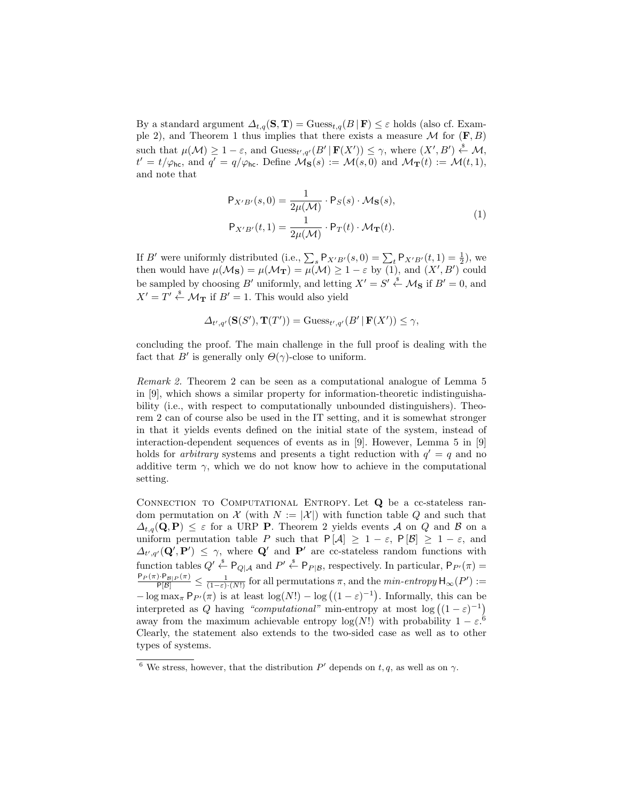By a standard argument  $\Delta_{t,q}(\mathbf{S}, \mathbf{T}) = \text{Gauss}_{t,q}(B \mid \mathbf{F}) \leq \varepsilon$  holds (also cf. Example 2), and Theorem 1 thus implies that there exists a measure  $\mathcal M$  for  $(F, B)$ such that  $\mu(\mathcal{M}) \geq 1 - \varepsilon$ , and  $\text{Guess}_{t',q'}(B' | \mathbf{F}(X')) \leq \gamma$ , where  $(X', B') \stackrel{\$}{\leftarrow} \mathcal{M}$ ,  $t' = t/\varphi_{hc}$ , and  $q' = q/\varphi_{hc}$ . Define  $\mathcal{M}_{\mathbf{S}}(s) := \mathcal{M}(s,0)$  and  $\mathcal{M}_{\mathbf{T}}(t) := \mathcal{M}(t,1)$ , and note that

$$
\mathsf{P}_{X'B'}(s,0) = \frac{1}{2\mu(\mathcal{M})} \cdot \mathsf{P}_S(s) \cdot \mathcal{M}_\mathbf{S}(s),
$$
  
\n
$$
\mathsf{P}_{X'B'}(t,1) = \frac{1}{2\mu(\mathcal{M})} \cdot \mathsf{P}_T(t) \cdot \mathcal{M}_\mathbf{T}(t).
$$
\n(1)

If B' were uniformly distributed (i.e.,  $\sum_{s} P_{X'B'}(s, 0) = \sum_{t} P_{X'B'}(t, 1) = \frac{1}{2}$ ), we then would have  $\mu(\mathcal{M}_S) = \mu(\mathcal{M}_T) = \mu(\mathcal{M}) \geq 1 - \varepsilon$  by (1), and  $(X', B')$  could be sampled by choosing B' uniformly, and letting  $X' = S' \stackrel{\$}{\leftarrow} \mathcal{M}_S$  if  $B' = 0$ , and  $X' = T' \stackrel{\text{*}}{\leftarrow} \mathcal{M}_{\textbf{T}}$  if  $B' = 1$ . This would also yield

$$
\Delta_{t',q'}(\mathbf{S}(S'),\mathbf{T}(T')) = \mathrm{Guess}_{t',q'}(B'\,|\,\mathbf{F}(X')) \leq \gamma,
$$

concluding the proof. The main challenge in the full proof is dealing with the fact that B' is generally only  $\Theta(\gamma)$ -close to uniform.

Remark 2. Theorem 2 can be seen as a computational analogue of Lemma 5 in [9], which shows a similar property for information-theoretic indistinguishability (i.e., with respect to computationally unbounded distinguishers). Theorem 2 can of course also be used in the IT setting, and it is somewhat stronger in that it yields events defined on the initial state of the system, instead of interaction-dependent sequences of events as in [9]. However, Lemma 5 in [9] holds for *arbitrary* systems and presents a tight reduction with  $q' = q$  and no additive term  $\gamma$ , which we do not know how to achieve in the computational setting.

CONNECTION TO COMPUTATIONAL ENTROPY. Let Q be a cc-stateless random permutation on  $\mathcal X$  (with  $N := |\mathcal X|$ ) with function table Q and such that  $\Delta_{t,q}(\mathbf{Q}, \mathbf{P}) \leq \varepsilon$  for a URP P. Theorem 2 yields events A on Q and B on a uniform permutation table P such that  $P[A] \geq 1 - \varepsilon$ ,  $P[\mathcal{B}] \geq 1 - \varepsilon$ , and  $\Delta_{t',q'}(\mathbf{Q}',\mathbf{P}') \leq \gamma$ , where  $\mathbf{Q}'$  and  $\mathbf{P}'$  are cc-stateless random functions with function tables  $Q' \xleftarrow{\$} P_{Q|\mathcal{A}}$  and  $P' \xleftarrow{\$} P_{P|\mathcal{B}}$ , respectively. In particular,  $P_{P'}(\pi) =$  $\frac{\mathsf{P}_{P}(\pi)\cdot\mathsf{P}_{\mathcal{B}|P}(\pi)}{\mathsf{P}[\mathcal{B}]} \leq \frac{1}{(1-\varepsilon)\cdot(N!)}$  for all permutations  $\pi$ , and the  $min\text{-}entropy\,\mathsf{H}_{\infty}(P'):=$  $-\log \max_{\pi} P_{P'}(\pi)$  is at least  $\log(N!) - \log((1-\varepsilon)^{-1})$ . Informally, this can be interpreted as Q having "computational" min-entropy at most  $log((1-\varepsilon)^{-1})$ away from the maximum achievable entropy  $log(N!)$  with probability  $1 - \varepsilon^{0}$ . Clearly, the statement also extends to the two-sided case as well as to other types of systems.

<sup>&</sup>lt;sup>6</sup> We stress, however, that the distribution  $P'$  depends on t, q, as well as on  $\gamma$ .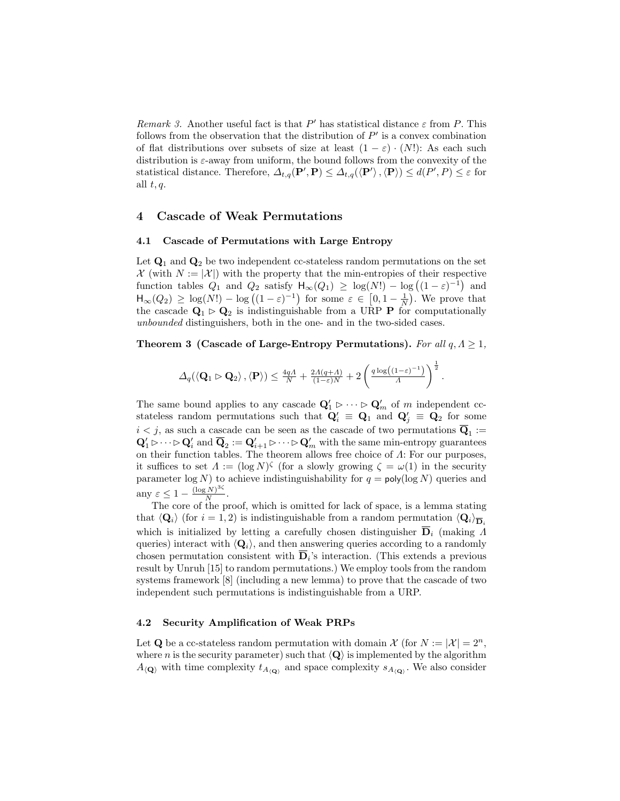Remark 3. Another useful fact is that  $P'$  has statistical distance  $\varepsilon$  from P. This follows from the observation that the distribution of  $P'$  is a convex combination of flat distributions over subsets of size at least  $(1 - \varepsilon) \cdot (N!)$ : As each such distribution is  $\varepsilon$ -away from uniform, the bound follows from the convexity of the statistical distance. Therefore,  $\Delta_{t,q}(\mathbf{P}', \mathbf{P}) \leq \Delta_{t,q}(\langle \mathbf{P}' \rangle, \langle \mathbf{P} \rangle) \leq d(P', P) \leq \varepsilon$  for all  $t, q$ .

# 4 Cascade of Weak Permutations

#### 4.1 Cascade of Permutations with Large Entropy

Let  $\mathbf{Q}_1$  and  $\mathbf{Q}_2$  be two independent cc-stateless random permutations on the set  $\mathcal{X}$  (with  $N := |\mathcal{X}|$ ) with the property that the min-entropies of their respective function tables  $Q_1$  and  $Q_2$  satisfy  $H_{\infty}(Q_1) \ge \log(N!) - \log((1-\varepsilon)^{-1})$  and  $\mathsf{H}_{\infty}(Q_2) \geq \log(N!) - \log((1-\varepsilon)^{-1})$  for some  $\varepsilon \in [0,1-\frac{1}{N})$ . We prove that the cascade  $\mathbf{Q}_1 \triangleright \mathbf{Q}_2$  is indistinguishable from a URP **P** for computationally unbounded distinguishers, both in the one- and in the two-sided cases.

## Theorem 3 (Cascade of Large-Entropy Permutations). For all  $q, \Delta \geq 1$ ,

$$
\varDelta_q(\langle \mathbf{Q}_1 \rhd \mathbf{Q}_2 \rangle, \langle \mathbf{P} \rangle) \leq \frac{4q\Lambda}{N} + \frac{2\Lambda(q+\Lambda)}{(1-\varepsilon)N} + 2\left(\frac{q\log((1-\varepsilon)^{-1})}{\Lambda}\right)^{\frac{1}{2}}.
$$

The same bound applies to any cascade  $\mathbf{Q}'_1 \triangleright \cdots \triangleright \mathbf{Q}'_m$  of m independent ccstateless random permutations such that  $Q'_i \equiv Q_1$  and  $Q'_j \equiv Q_2$  for some  $i < j$ , as such a cascade can be seen as the cascade of two permutations  $\mathbf{Q}_1 :=$  $Q'_1 \triangleright \cdots \triangleright Q'_i$  and  $\overline{Q}_2 := Q'_{i+1} \triangleright \cdots \triangleright Q'_m$  with the same min-entropy guarantees on their function tables. The theorem allows free choice of  $\Lambda$ : For our purposes, it suffices to set  $\Lambda := (\log N)^{\zeta}$  (for a slowly growing  $\zeta = \omega(1)$  in the security parameter  $\log N$ ) to achieve indistinguishability for  $q = \text{poly}(\log N)$  queries and any  $\varepsilon \leq 1 - \frac{(\log N)^{3\zeta}}{N}$  $\frac{N}{N}$ .

The core of the proof, which is omitted for lack of space, is a lemma stating that  $\langle \mathbf{Q}_i \rangle$  (for  $i = 1, 2$ ) is indistinguishable from a random permutation  $\langle \mathbf{Q}_i \rangle_{\mathbf{\overline{D}}}$ . which is initialized by letting a carefully chosen distinguisher  $\overline{D}_i$  (making  $\Lambda$ queries) interact with  $\langle \mathbf{Q}_i \rangle$ , and then answering queries according to a randomly chosen permutation consistent with  $\overline{\mathbf{D}}_i$ 's interaction. (This extends a previous result by Unruh [15] to random permutations.) We employ tools from the random systems framework [8] (including a new lemma) to prove that the cascade of two independent such permutations is indistinguishable from a URP.

## 4.2 Security Amplification of Weak PRPs

Let Q be a cc-stateless random permutation with domain  $\mathcal{X}$  (for  $N := |\mathcal{X}| = 2^n$ , where *n* is the security parameter) such that  $\langle \mathbf{Q} \rangle$  is implemented by the algorithm  $A_{\langle \mathbf{Q} \rangle}$  with time complexity  $t_{A_{\langle \mathbf{Q} \rangle}}$  and space complexity  $s_{A_{\langle \mathbf{Q} \rangle}}$ . We also consider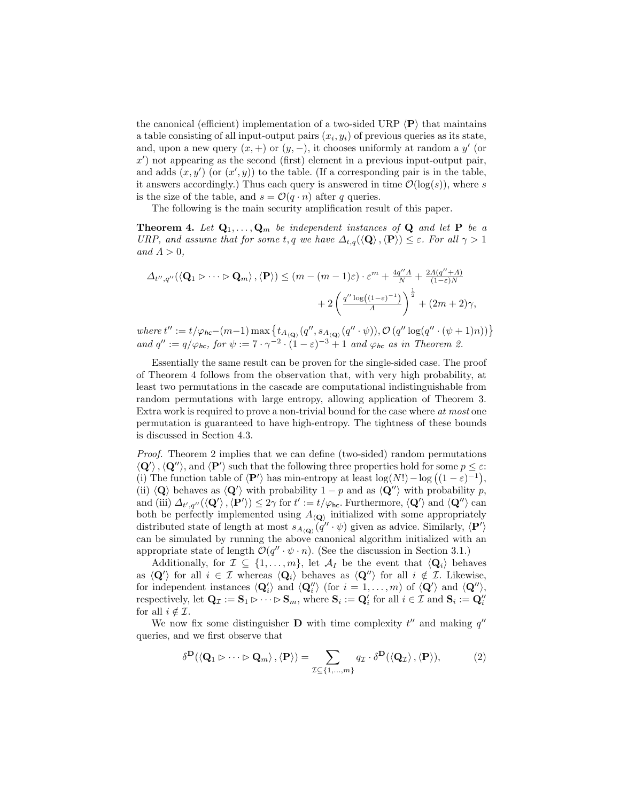the canonical (efficient) implementation of a two-sided URP  $\langle \mathbf{P} \rangle$  that maintains a table consisting of all input-output pairs  $(x_i, y_i)$  of previous queries as its state, and, upon a new query  $(x, +)$  or  $(y, -)$ , it chooses uniformly at random a y' (or  $x'$ ) not appearing as the second (first) element in a previous input-output pair, and adds  $(x, y')$  (or  $(x', y)$ ) to the table. (If a corresponding pair is in the table, it answers accordingly.) Thus each query is answered in time  $\mathcal{O}(\log(s))$ , where s is the size of the table, and  $s = \mathcal{O}(q \cdot n)$  after q queries.

The following is the main security amplification result of this paper.

**Theorem 4.** Let  $\mathbf{Q}_1, \ldots, \mathbf{Q}_m$  be independent instances of  $\mathbf{Q}$  and let  $\mathbf{P}$  be a URP, and assume that for some t, q we have  $\Delta_{t,q}(\langle \mathbf{Q}\rangle,\langle \mathbf{P}\rangle) \leq \varepsilon$ . For all  $\gamma > 1$ and  $\Lambda > 0$ ,

$$
\Delta_{t'',q''}(\langle \mathbf{Q}_1 \rhd \cdots \rhd \mathbf{Q}_m \rangle, \langle \mathbf{P} \rangle) \le (m - (m - 1)\varepsilon) \cdot \varepsilon^m + \frac{4q'' A}{N} + \frac{2A(q'' + A)}{(1 - \varepsilon)N} + 2\left(\frac{q'' \log((1 - \varepsilon)^{-1})}{A}\right)^{\frac{1}{2}} + (2m + 2)\gamma,
$$

where  $t'' := t/\varphi_{hc} - (m-1) \max \{ t_{A_{(Q)}}(q'', s_{A_{(Q)}}(q'' \cdot \psi)), \mathcal{O}(q'' \log(q'' \cdot (\psi + 1)n)) \}$ and  $q'' := q/\varphi_{hc}$ , for  $\psi := 7 \cdot \gamma^{-2} \cdot (1 - \varepsilon)^{-3} + 1$  and  $\varphi_{hc}$  as in Theorem 2.

Essentially the same result can be proven for the single-sided case. The proof of Theorem 4 follows from the observation that, with very high probability, at least two permutations in the cascade are computational indistinguishable from random permutations with large entropy, allowing application of Theorem 3. Extra work is required to prove a non-trivial bound for the case where at most one permutation is guaranteed to have high-entropy. The tightness of these bounds is discussed in Section 4.3.

Proof. Theorem 2 implies that we can define (two-sided) random permutations  $\langle \mathbf{Q}' \rangle$ ,  $\langle \mathbf{Q}'' \rangle$ , and  $\langle \mathbf{P}' \rangle$  such that the following three properties hold for some  $p \leq \varepsilon$ : (i) The function table of  $\langle \mathbf{P}' \rangle$  has min-entropy at least  $\log(N!) - \log((1 - \varepsilon)^{-1}),$ (ii)  $\langle \mathbf{Q} \rangle$  behaves as  $\langle \mathbf{Q}' \rangle$  with probability 1 – p and as  $\langle \mathbf{Q}'' \rangle$  with probability p, and (iii)  $\Delta_{t',q''}(\langle \mathbf{Q}' \rangle, \langle \mathbf{P}' \rangle) \leq 2\gamma$  for  $t' := t/\varphi_{\text{hc}}$ . Furthermore,  $\langle \mathbf{Q}' \rangle$  and  $\langle \mathbf{Q}'' \rangle$  can both be perfectly implemented using  $A_{\langle \mathbf{Q} \rangle}$  initialized with some appropriately distributed state of length at most  $s_{A(Q)}(q'' \cdot \psi)$  given as advice. Similarly,  $\langle \mathbf{P}' \rangle$ can be simulated by running the above canonical algorithm initialized with an appropriate state of length  $\mathcal{O}(q'' \cdot \psi \cdot n)$ . (See the discussion in Section 3.1.)

Additionally, for  $\mathcal{I} \subseteq \{1, \ldots, m\}$ , let  $\mathcal{A}_I$  be the event that  $\langle \mathbf{Q}_i \rangle$  behaves as  $\langle \mathbf{Q}' \rangle$  for all  $i \in \mathcal{I}$  whereas  $\langle \mathbf{Q}_i \rangle$  behaves as  $\langle \mathbf{Q}'' \rangle$  for all  $i \notin \mathcal{I}$ . Likewise, for independent instances  $\langle \mathbf{Q}'_i \rangle$  and  $\langle \mathbf{Q}''_i \rangle$  (for  $i = 1, ..., m$ ) of  $\langle \mathbf{Q}' \rangle$  and  $\langle \mathbf{Q}'' \rangle$ , respectively, let  $\mathbf{Q}_{\mathcal{I}} := \mathbf{S}_1 \triangleright \cdots \triangleright \mathbf{S}_m$ , where  $\mathbf{S}_i := \mathbf{Q}'_i$  for all  $i \in \mathcal{I}$  and  $\mathbf{S}_i := \mathbf{Q}''_i$ for all  $i \notin \mathcal{I}$ .

We now fix some distinguisher **D** with time complexity  $t''$  and making  $q''$ queries, and we first observe that

$$
\delta^{\mathbf{D}}(\langle \mathbf{Q}_1 \rhd \cdots \rhd \mathbf{Q}_m \rangle, \langle \mathbf{P} \rangle) = \sum_{\mathcal{I} \subseteq \{1, \ldots, m\}} q_{\mathcal{I}} \cdot \delta^{\mathbf{D}}(\langle \mathbf{Q}_{\mathcal{I}} \rangle, \langle \mathbf{P} \rangle),
$$
(2)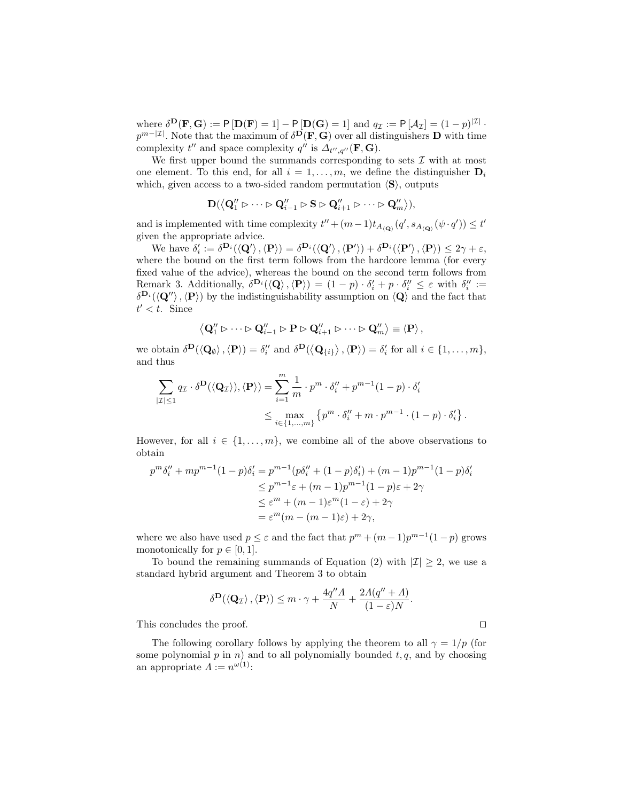where  $\delta^{\mathbf{D}}(\mathbf{F}, \mathbf{G}) := \mathsf{P}[\mathbf{D}(\mathbf{F}) = 1] - \mathsf{P}[\mathbf{D}(\mathbf{G}) = 1]$  and  $q_{\mathcal{I}} := \mathsf{P}[\mathcal{A}_{\mathcal{I}}] = (1 - p)^{|\mathcal{I}|}$ .  $p^{m-|\mathcal{I}|}$ . Note that the maximum of  $\delta^{D}(\mathbf{F}, \mathbf{G})$  over all distinguishers D with time complexity  $t''$  and space complexity  $q''$  is  $\Delta_{t'',q''}(\mathbf{F},\mathbf{G})$ .

We first upper bound the summands corresponding to sets  $\mathcal I$  with at most one element. To this end, for all  $i = 1, \ldots, m$ , we define the distinguisher  $D_i$ which, given access to a two-sided random permutation  $\langle S \rangle$ , outputs

$$
\mathbf{D}(\left\langle \mathbf{Q}_1'' \rhd \cdots \rhd \mathbf{Q}_{i-1}'' \rhd \mathbf{S} \rhd \mathbf{Q}_{i+1}'' \rhd \cdots \rhd \mathbf{Q}_m'' \right\rangle),
$$

and is implemented with time complexity  $t'' + (m-1)t_{A_{\langle \mathbf{Q} \rangle}}(q', s_{A_{\langle \mathbf{Q} \rangle}}(\psi \cdot q')) \leq t'$ given the appropriate advice.

We have  $\delta_i' := \delta^{D_i}(\langle \mathbf{Q}' \rangle, \langle \mathbf{P} \rangle) = \delta^{D_i}(\langle \mathbf{Q}' \rangle, \langle \mathbf{P}' \rangle) + \delta^{D_i}(\langle \mathbf{P}' \rangle, \langle \mathbf{P} \rangle) \leq 2\gamma + \varepsilon$ , where the bound on the first term follows from the hardcore lemma (for every fixed value of the advice), whereas the bound on the second term follows from Remark 3. Additionally,  $\delta^{\mathbf{D}_i}(\langle \mathbf{Q} \rangle, \langle \mathbf{P} \rangle) = (1-p) \cdot \delta'_i + p \cdot \delta''_i \leq \varepsilon$  with  $\delta''_i :=$  $\delta^{\mathbf{D}_i}(\langle \mathbf{Q}' \rangle, \langle \mathbf{P} \rangle)$  by the indistinguishability assumption on  $\langle \mathbf{Q} \rangle$  and the fact that  $t' < t$ . Since

$$
\left\langle \mathbf{Q}_{1}^{"}\triangleright\cdots\triangleright\mathbf{Q}_{i-1}^{"}\triangleright\mathbf{P}\triangleright\mathbf{Q}_{i+1}^{"}\triangleright\cdots\triangleright\mathbf{Q}_{m}^{"}\right\rangle \equiv\left\langle \mathbf{P}\right\rangle,
$$

we obtain  $\delta^{\mathbf{D}}(\langle \mathbf{Q}_{\emptyset} \rangle, \langle \mathbf{P} \rangle) = \delta_i''$  and  $\delta^{\mathbf{D}}(\langle \mathbf{Q}_{\{i\}} \rangle, \langle \mathbf{P} \rangle) = \delta_i'$  for all  $i \in \{1, ..., m\}$ , and thus

$$
\sum_{|\mathcal{I}| \leq 1} q_{\mathcal{I}} \cdot \delta^{\mathbf{D}}(\langle \mathbf{Q}_{\mathcal{I}} \rangle), \langle \mathbf{P} \rangle) = \sum_{i=1}^{m} \frac{1}{m} \cdot p^{m} \cdot \delta_{i}'' + p^{m-1} (1-p) \cdot \delta_{i}'
$$
  

$$
\leq \max_{i \in \{1, \dots, m\}} \left\{ p^{m} \cdot \delta_{i}'' + m \cdot p^{m-1} \cdot (1-p) \cdot \delta_{i}' \right\}.
$$

However, for all  $i \in \{1, \ldots, m\}$ , we combine all of the above observations to obtain

$$
p^m \delta_i'' + mp^{m-1} (1-p) \delta_i' = p^{m-1} (p \delta_i'' + (1-p) \delta_i') + (m-1)p^{m-1} (1-p) \delta_i'
$$
  
\n
$$
\leq p^{m-1} \varepsilon + (m-1)p^{m-1} (1-p) \varepsilon + 2\gamma
$$
  
\n
$$
\leq \varepsilon^m + (m-1)\varepsilon^m (1-\varepsilon) + 2\gamma
$$
  
\n
$$
= \varepsilon^m (m - (m-1)\varepsilon) + 2\gamma,
$$

where we also have used  $p \leq \varepsilon$  and the fact that  $p^m + (m-1)p^{m-1}(1-p)$  grows monotonically for  $p \in [0, 1]$ .

To bound the remaining summands of Equation (2) with  $|\mathcal{I}| \geq 2$ , we use a standard hybrid argument and Theorem 3 to obtain

$$
\delta^{\mathbf{D}}(\langle \mathbf{Q}_{\mathcal{I}} \rangle, \langle \mathbf{P} \rangle) \leq m \cdot \gamma + \frac{4q''\Lambda}{N} + \frac{2\Lambda(q'' + \Lambda)}{(1 - \varepsilon)N}.
$$

This concludes the proof.  $\Box$ 

The following corollary follows by applying the theorem to all  $\gamma = 1/p$  (for some polynomial  $p$  in  $n)$  and to all polynomially bounded  $t, q$ , and by choosing an appropriate  $\Lambda := n^{\omega(1)}$ :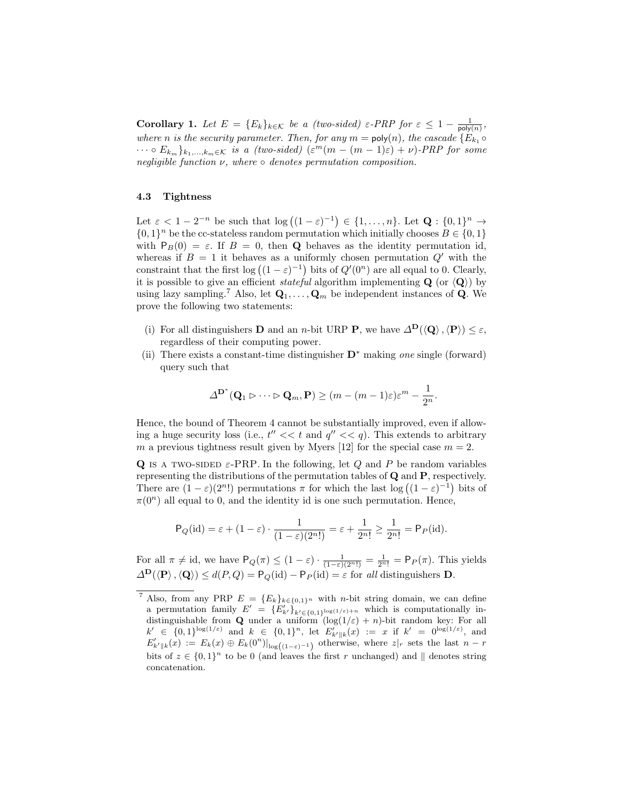Corollary 1. Let  $E = \{E_k\}_{k \in \mathcal{K}}$  be a (two-sided)  $\varepsilon$ -PRP for  $\varepsilon \leq 1 - \frac{1}{\text{poly}(n)}$ , where *n* is the security parameter. Then, for any  $m = \text{poly}(n)$ , the cascade  $\{E_{k_1} \circ$  $\cdots \circ E_{k_m} \}_{k_1,\ldots,k_m \in \mathcal{K}}$  is a (two-sided)  $(\varepsilon^m(m - (m-1)\varepsilon) + \nu)$ -PRP for some negligible function  $\nu$ , where  $\circ$  denotes permutation composition.

#### 4.3 Tightness

Let  $\varepsilon < 1 - 2^{-n}$  be such that  $\log((1-\varepsilon)^{-1}) \in \{1, \ldots, n\}$ . Let  $\mathbf{Q}: \{0,1\}^n \to$  $\{0,1\}^n$  be the cc-stateless random permutation which initially chooses  $B \in \{0,1\}$ with  $P_B(0) = \varepsilon$ . If  $B = 0$ , then **Q** behaves as the identity permutation id, whereas if  $B = 1$  it behaves as a uniformly chosen permutation  $Q'$  with the constraint that the first  $log((1 - \varepsilon)^{-1})$  bits of  $Q'(0^n)$  are all equal to 0. Clearly, it is possible to give an efficient *stateful* algorithm implementing  $Q$  (or  $\langle Q \rangle$ ) by using lazy sampling.<sup>7</sup> Also, let  $\mathbf{Q}_1, \ldots, \mathbf{Q}_m$  be independent instances of **Q**. We prove the following two statements:

- (i) For all distinguishers **D** and an *n*-bit URP **P**, we have  $\Delta^{\mathbf{D}}(\langle \mathbf{Q} \rangle, \langle \mathbf{P} \rangle) < \varepsilon$ , regardless of their computing power.
- (ii) There exists a constant-time distinguisher  $\mathbf{D}^*$  making one single (forward) query such that

$$
\Delta^{\mathbf{D}^*}(\mathbf{Q}_1 \rhd \cdots \rhd \mathbf{Q}_m, \mathbf{P}) \ge (m - (m-1)\varepsilon)\varepsilon^m - \frac{1}{2^n}.
$$

Hence, the bound of Theorem 4 cannot be substantially improved, even if allowing a huge security loss (i.e.,  $t'' \ll t$  and  $q'' \ll q$ ). This extends to arbitrary m a previous tightness result given by Myers [12] for the special case  $m = 2$ .

Q IS A TWO-SIDED  $\varepsilon$ -PRP. In the following, let Q and P be random variables representing the distributions of the permutation tables of Q and P, respectively. There are  $(1 - \varepsilon)(2^n!)$  permutations  $\pi$  for which the last  $\log((1 - \varepsilon)^{-1})$  bits of  $\pi(0^n)$  all equal to 0, and the identity id is one such permutation. Hence,

$$
\mathsf{P}_Q(\mathrm{id}) = \varepsilon + (1 - \varepsilon) \cdot \frac{1}{(1 - \varepsilon)(2^n!)} = \varepsilon + \frac{1}{2^n!} \ge \frac{1}{2^n!} = \mathsf{P}_P(\mathrm{id}).
$$

For all  $\pi \neq id$ , we have  $\mathsf{P}_Q(\pi) \leq (1-\varepsilon) \cdot \frac{1}{(1-\varepsilon)(2^n!)} = \frac{1}{2^n!} = \mathsf{P}_P(\pi)$ . This yields  $\Delta^{\mathbf{D}}(\langle \mathbf{P} \rangle, \langle \mathbf{Q} \rangle) \leq d(P, Q) = \mathsf{P}_Q(\text{id}) - \mathsf{P}_P(\text{id}) = \varepsilon$  for all distinguishers **D**.

<sup>&</sup>lt;sup>7</sup> Also, from any PRP  $E = \{E_k\}_{k \in \{0,1\}^n}$  with *n*-bit string domain, we can define a permutation family  $E' = \{E'_{k'}\}_{k' \in \{0,1\}^{\log(1/\varepsilon)+n}}$  which is computationally indistinguishable from **Q** under a uniform  $(\log(1/\varepsilon) + n)$ -bit random key: For all  $k' \in \{0,1\}^{\log(1/\varepsilon)}$  and  $k \in \{0,1\}^n$ , let  $E'_{k' || k}(x) := x$  if  $k' = 0^{\log(1/\varepsilon)}$ , and  $E'_{k'||k}(x) := E_k(x) \oplus E_k(0^n)|_{\log((1-\varepsilon)^{-1})}$  otherwise, where  $z|_r$  sets the last  $n-r$ bits of  $z \in \{0,1\}^n$  to be 0 (and leaves the first r unchanged) and  $\parallel$  denotes string concatenation.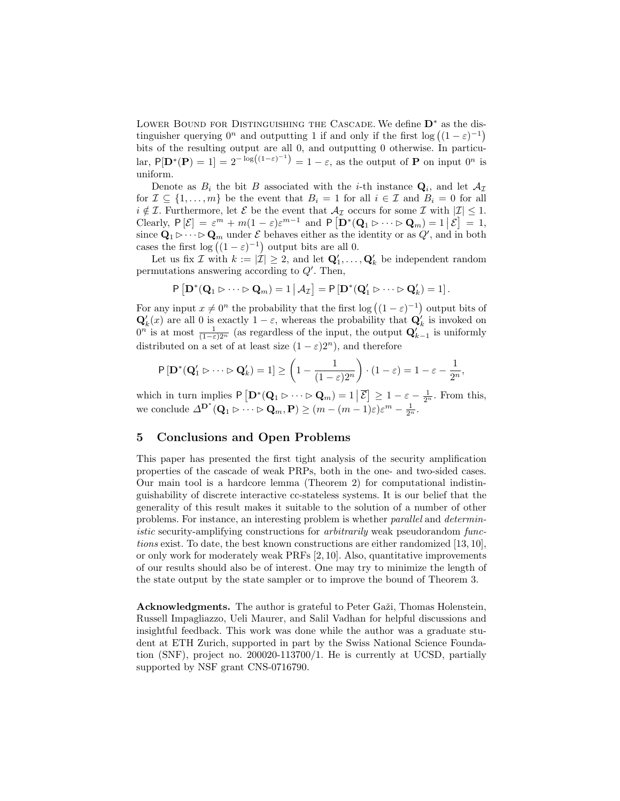Lower Bound for Distinguishing the Cascade. We define D<sup>∗</sup> as the distinguisher querying  $0^n$  and outputting 1 if and only if the first log  $((1 - \varepsilon)^{-1})$ bits of the resulting output are all 0, and outputting 0 otherwise. In particular,  $P[\mathbf{D}^*(\mathbf{P})] = 1 = 2^{-\log((1-\varepsilon)^{-1})} = 1-\varepsilon$ , as the output of **P** on input  $0^n$  is uniform.

Denote as  $B_i$  the bit B associated with the *i*-th instance  $\mathbf{Q}_i$ , and let  $\mathcal{A}_{\mathcal{I}}$ for  $\mathcal{I} \subseteq \{1, \ldots, m\}$  be the event that  $B_i = 1$  for all  $i \in \mathcal{I}$  and  $B_i = 0$  for all  $i \notin \mathcal{I}$ . Furthermore, let  $\mathcal{E}$  be the event that  $\mathcal{A}_{\mathcal{I}}$  occurs for some  $\mathcal{I}$  with  $|\mathcal{I}| \leq 1$ . Clearly,  $P[\mathcal{E}] = \varepsilon^m + m(1-\varepsilon)\varepsilon^{m-1}$  and  $P[D^*(\mathbf{Q}_1 \triangleright \cdots \triangleright \mathbf{Q}_m) = 1 | \mathcal{E}] = 1$ , since  $\mathbf{Q}_1 \triangleright \cdots \triangleright \mathbf{Q}_m$  under  $\mathcal E$  behaves either as the identity or as  $Q'$ , and in both cases the first  $\log((1-\varepsilon)^{-1})$  output bits are all 0.

Let us fix  $\mathcal I$  with  $k := |\mathcal I| \geq 2$ , and let  $\mathbf{Q}'_1, \ldots, \mathbf{Q}'_k$  be independent random permutations answering according to  $Q'$ . Then,

$$
P\left[\mathbf{D}^*(\mathbf{Q}_1 \triangleright \cdots \triangleright \mathbf{Q}_m) = 1 \,|\, \mathcal{A}_{\mathcal{I}}\right] = P\left[\mathbf{D}^*(\mathbf{Q}'_1 \triangleright \cdots \triangleright \mathbf{Q}'_k) = 1\right].
$$

For any input  $x \neq 0^n$  the probability that the first log  $((1 - \varepsilon)^{-1})$  output bits of  $\mathbf{Q}'_k(x)$  are all 0 is exactly  $1-\varepsilon$ , whereas the probability that  $\mathbf{Q}'_k$  is invoked on  $0^n$  is at most  $\frac{1}{(1-\varepsilon)2^n}$  (as regardless of the input, the output  $\mathbf{Q}'_{k-1}$  is uniformly distributed on a set of at least size  $(1 - \varepsilon)2^n$ , and therefore

$$
P\left[\mathbf{D}^*(\mathbf{Q}'_1 \rhd \cdots \rhd \mathbf{Q}'_k) = 1\right] \ge \left(1 - \frac{1}{(1-\varepsilon)2^n}\right) \cdot (1-\varepsilon) = 1 - \varepsilon - \frac{1}{2^n},
$$

which in turn implies  $P\left[\mathbf{D}^*(\mathbf{Q}_1 \triangleright \cdots \triangleright \mathbf{Q}_m) = 1 \,|\, \overline{\mathcal{E}}\right] \geq 1 - \varepsilon - \frac{1}{2^n}$ . From this, we conclude  $\Delta^{D^*}(Q_1 \triangleright \cdots \triangleright Q_m, P) \geq (m - (m - 1)\varepsilon)\varepsilon^m - \frac{1}{2^n}$ .

# 5 Conclusions and Open Problems

This paper has presented the first tight analysis of the security amplification properties of the cascade of weak PRPs, both in the one- and two-sided cases. Our main tool is a hardcore lemma (Theorem 2) for computational indistinguishability of discrete interactive cc-stateless systems. It is our belief that the generality of this result makes it suitable to the solution of a number of other problems. For instance, an interesting problem is whether parallel and deterministic security-amplifying constructions for *arbitrarily* weak pseudorandom functions exist. To date, the best known constructions are either randomized [13, 10], or only work for moderately weak PRFs [2, 10]. Also, quantitative improvements of our results should also be of interest. One may try to minimize the length of the state output by the state sampler or to improve the bound of Theorem 3.

Acknowledgments. The author is grateful to Peter Gaži, Thomas Holenstein, Russell Impagliazzo, Ueli Maurer, and Salil Vadhan for helpful discussions and insightful feedback. This work was done while the author was a graduate student at ETH Zurich, supported in part by the Swiss National Science Foundation (SNF), project no. 200020-113700/1. He is currently at UCSD, partially supported by NSF grant CNS-0716790.